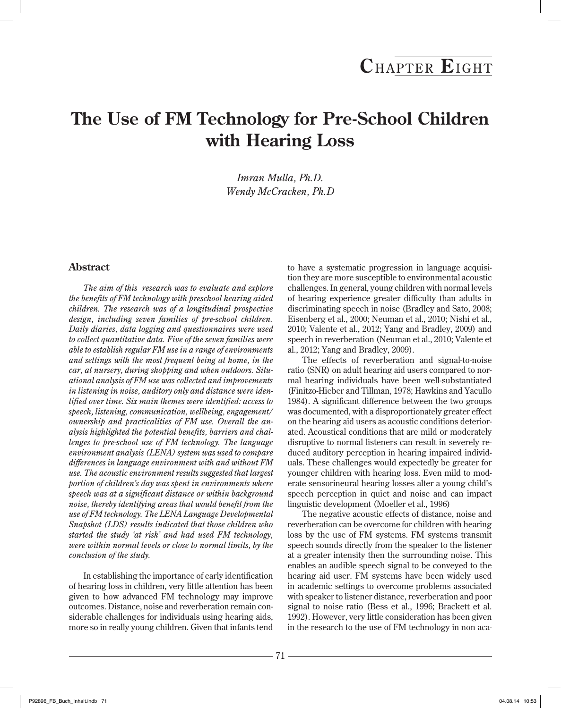# **The Use of FM Technology for Pre-School Children with Hearing Loss**

*Imran Mulla, Ph.D. Wendy McCracken, Ph.D*

# **Abstract**

*The aim of this research was to evaluate and explore the benefits of FM technology with preschool hearing aided children. The research was of a longitudinal prospective design, including seven families of pre-school children. Daily diaries, data logging and questionnaires were used to collect quantitative data. Five of the seven families were able to establish regular FM use in a range of environments and settings with the most frequent being at home, in the car, at nursery, during shopping and when outdoors. Situational analysis of FM use was collected and improvements in listening in noise, auditory only and distance were identified over time. Six main themes were identified: access to speech, listening, communication, wellbeing, engagement/ ownership and practicalities of FM use. Overall the analysis highlighted the potential benefits, barriers and challenges to pre-school use of FM technology. The language environment analysis (LENA) system was used to compare differences in language environment with and without FM use. The acoustic environment results suggested that largest portion of children's day was spent in environments where speech was at a significant distance or within background noise, thereby identifying areas that would benefit from the use of FM technology. The LENA Language Developmental Snapshot (LDS) results indicated that those children who started the study 'at risk' and had used FM technology, were within normal levels or close to normal limits, by the conclusion of the study.*

In establishing the importance of early identification of hearing loss in children, very little attention has been given to how advanced FM technology may improve outcomes. Distance, noise and reverberation remain considerable challenges for individuals using hearing aids, more so in really young children. Given that infants tend to have a systematic progression in language acquisition they are more susceptible to environmental acoustic challenges. In general, young children with normal levels of hearing experience greater difficulty than adults in discriminating speech in noise (Bradley and Sato, 2008; Eisenberg et al., 2000; Neuman et al., 2010; Nishi et al., 2010; Valente et al., 2012; Yang and Bradley, 2009) and speech in reverberation (Neuman et al., 2010; Valente et al., 2012; Yang and Bradley, 2009).

The effects of reverberation and signal-to-noise ratio (SNR) on adult hearing aid users compared to normal hearing individuals have been well-substantiated (Finitzo-Hieber and Tillman, 1978; Hawkins and Yacullo 1984). A significant difference between the two groups was documented, with a disproportionately greater effect on the hearing aid users as acoustic conditions deteriorated. Acoustical conditions that are mild or moderately disruptive to normal listeners can result in severely reduced auditory perception in hearing impaired individuals. These challenges would expectedly be greater for younger children with hearing loss. Even mild to moderate sensorineural hearing losses alter a young child's speech perception in quiet and noise and can impact linguistic development (Moeller et al., 1996)

The negative acoustic effects of distance, noise and reverberation can be overcome for children with hearing loss by the use of FM systems. FM systems transmit speech sounds directly from the speaker to the listener at a greater intensity then the surrounding noise. This enables an audible speech signal to be conveyed to the hearing aid user. FM systems have been widely used in academic settings to overcome problems associated with speaker to listener distance, reverberation and poor signal to noise ratio (Bess et al., 1996; Brackett et al. 1992). However, very little consideration has been given in the research to the use of FM technology in non aca-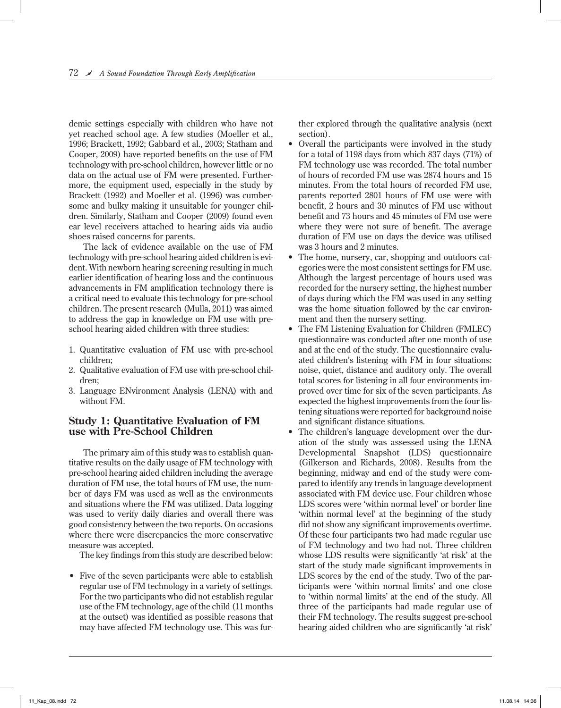demic settings especially with children who have not yet reached school age. A few studies (Moeller et al., 1996; Brackett, 1992; Gabbard et al., 2003; Statham and Cooper, 2009) have reported benefits on the use of FM technology with pre-school children, however little or no data on the actual use of FM were presented. Furthermore, the equipment used, especially in the study by Brackett (1992) and Moeller et al. (1996) was cumbersome and bulky making it unsuitable for younger children. Similarly, Statham and Cooper (2009) found even ear level receivers attached to hearing aids via audio shoes raised concerns for parents.

The lack of evidence available on the use of FM technology with pre-school hearing aided children is evident. With newborn hearing screening resulting in much earlier identification of hearing loss and the continuous advancements in FM amplification technology there is a critical need to evaluate this technology for pre-school children. The present research (Mulla, 2011) was aimed to address the gap in knowledge on FM use with preschool hearing aided children with three studies:

- 1. Quantitative evaluation of FM use with pre-school children;
- 2. Qualitative evaluation of FM use with pre-school children;
- 3. Language ENvironment Analysis (LENA) with and without FM.

# **Study 1: Quantitative Evaluation of FM use with Pre-School Children**

The primary aim of this study was to establish quantitative results on the daily usage of FM technology with pre-school hearing aided children including the average duration of FM use, the total hours of FM use, the number of days FM was used as well as the environments and situations where the FM was utilized. Data logging was used to verify daily diaries and overall there was good consistency between the two reports. On occasions where there were discrepancies the more conservative measure was accepted.

The key findings from this study are described below:

• Five of the seven participants were able to establish regular use of FM technology in a variety of settings. For the two participants who did not establish regular use of the FM technology, age of the child (11 months at the outset) was identified as possible reasons that may have affected FM technology use. This was further explored through the qualitative analysis (next section).

- Overall the participants were involved in the study for a total of 1198 days from which 837 days (71%) of FM technology use was recorded. The total number of hours of recorded FM use was 2874 hours and 15 minutes. From the total hours of recorded FM use, parents reported 2801 hours of FM use were with benefit, 2 hours and 30 minutes of FM use without benefit and 73 hours and 45 minutes of FM use were where they were not sure of benefit. The average duration of FM use on days the device was utilised was 3 hours and 2 minutes.
- The home, nursery, car, shopping and outdoors categories were the most consistent settings for FM use. Although the largest percentage of hours used was recorded for the nursery setting, the highest number of days during which the FM was used in any setting was the home situation followed by the car environment and then the nursery setting.
- The FM Listening Evaluation for Children (FMLEC) questionnaire was conducted after one month of use and at the end of the study. The questionnaire evaluated children's listening with FM in four situations: noise, quiet, distance and auditory only. The overall total scores for listening in all four environments improved over time for six of the seven participants. As expected the highest improvements from the four listening situations were reported for background noise and significant distance situations.
- The children's language development over the duration of the study was assessed using the LENA Developmental Snapshot (LDS) questionnaire (Gilkerson and Richards, 2008). Results from the beginning, midway and end of the study were compared to identify any trends in language development associated with FM device use. Four children whose LDS scores were 'within normal level' or border line 'within normal level' at the beginning of the study did not show any significant improvements overtime. Of these four participants two had made regular use of FM technology and two had not. Three children whose LDS results were significantly 'at risk' at the start of the study made significant improvements in LDS scores by the end of the study. Two of the participants were 'within normal limits' and one close to 'within normal limits' at the end of the study. All three of the participants had made regular use of their FM technology. The results suggest pre-school hearing aided children who are significantly 'at risk'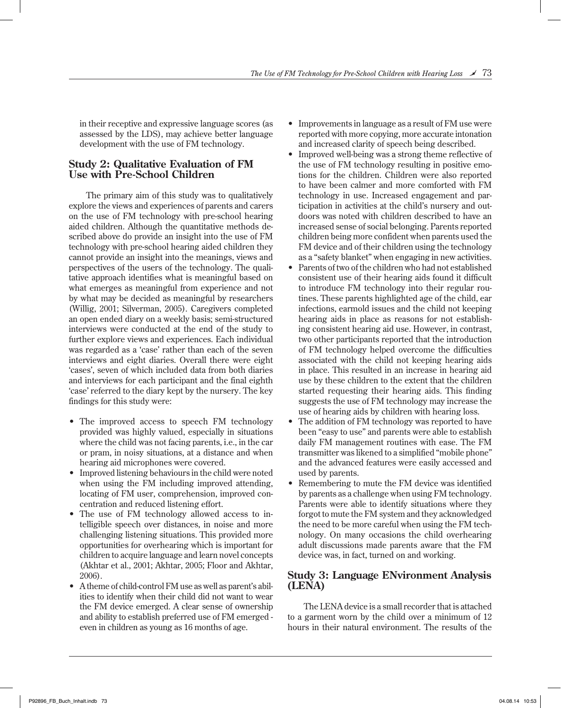in their receptive and expressive language scores (as assessed by the LDS), may achieve better language development with the use of FM technology.

#### **Study 2: Qualitative Evaluation of FM Use with Pre-School Children**

The primary aim of this study was to qualitatively explore the views and experiences of parents and carers on the use of FM technology with pre-school hearing aided children. Although the quantitative methods described above do provide an insight into the use of FM technology with pre-school hearing aided children they cannot provide an insight into the meanings, views and perspectives of the users of the technology. The qualitative approach identifies what is meaningful based on what emerges as meaningful from experience and not by what may be decided as meaningful by researchers (Willig, 2001; Silverman, 2005). Caregivers completed an open ended diary on a weekly basis; semi-structured interviews were conducted at the end of the study to further explore views and experiences. Each individual was regarded as a 'case' rather than each of the seven interviews and eight diaries. Overall there were eight 'cases', seven of which included data from both diaries and interviews for each participant and the final eighth 'case' referred to the diary kept by the nursery. The key findings for this study were:

- The improved access to speech FM technology provided was highly valued, especially in situations where the child was not facing parents, i.e., in the car or pram, in noisy situations, at a distance and when hearing aid microphones were covered.
- Improved listening behaviours in the child were noted when using the FM including improved attending, locating of FM user, comprehension, improved concentration and reduced listening effort.
- The use of FM technology allowed access to intelligible speech over distances, in noise and more challenging listening situations. This provided more opportunities for overhearing which is important for children to acquire language and learn novel concepts (Akhtar et al., 2001; Akhtar, 2005; Floor and Akhtar, 2006).
- A theme of child-control FM use as well as parent's abilities to identify when their child did not want to wear the FM device emerged. A clear sense of ownership and ability to establish preferred use of FM emerged even in children as young as 16 months of age.
- Improvements in language as a result of FM use were reported with more copying, more accurate intonation and increased clarity of speech being described.
- Improved well-being was a strong theme reflective of the use of FM technology resulting in positive emotions for the children. Children were also reported to have been calmer and more comforted with FM technology in use. Increased engagement and participation in activities at the child's nursery and outdoors was noted with children described to have an increased sense of social belonging. Parents reported children being more confident when parents used the FM device and of their children using the technology as a "safety blanket" when engaging in new activities.
- Parents of two of the children who had not established consistent use of their hearing aids found it difficult to introduce FM technology into their regular routines. These parents highlighted age of the child, ear infections, earmold issues and the child not keeping hearing aids in place as reasons for not establishing consistent hearing aid use. However, in contrast, two other participants reported that the introduction of FM technology helped overcome the difficulties associated with the child not keeping hearing aids in place. This resulted in an increase in hearing aid use by these children to the extent that the children started requesting their hearing aids. This finding suggests the use of FM technology may increase the use of hearing aids by children with hearing loss.
- The addition of FM technology was reported to have been "easy to use" and parents were able to establish daily FM management routines with ease. The FM transmitter was likened to a simplified "mobile phone" and the advanced features were easily accessed and used by parents.
- Remembering to mute the FM device was identified by parents as a challenge when using FM technology. Parents were able to identify situations where they forgot to mute the FM system and they acknowledged the need to be more careful when using the FM technology. On many occasions the child overhearing adult discussions made parents aware that the FM device was, in fact, turned on and working.

# **Study 3: Language ENvironment Analysis (LENA)**

 The LENA device is a small recorder that is attached to a garment worn by the child over a minimum of 12 hours in their natural environment. The results of the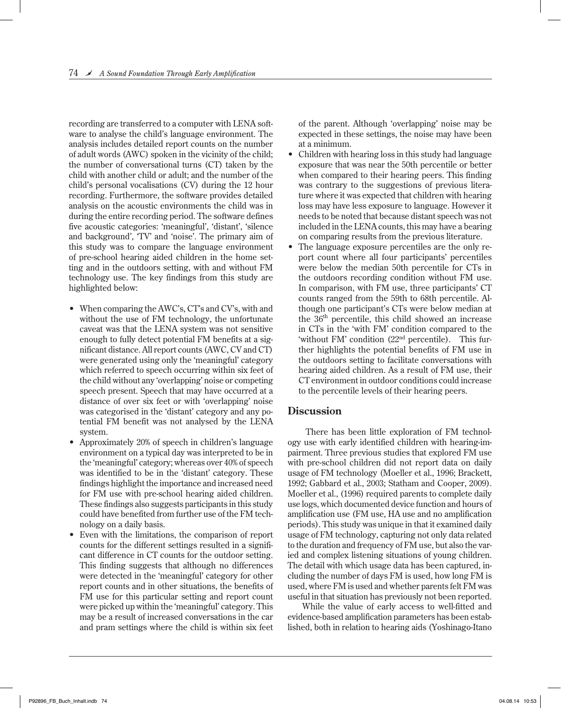recording are transferred to a computer with LENA software to analyse the child's language environment. The analysis includes detailed report counts on the number of adult words (AWC) spoken in the vicinity of the child; the number of conversational turns (CT) taken by the child with another child or adult; and the number of the child's personal vocalisations (CV) during the 12 hour recording. Furthermore, the software provides detailed analysis on the acoustic environments the child was in during the entire recording period. The software defines five acoustic categories: 'meaningful', 'distant', 'silence and background', 'TV' and 'noise'. The primary aim of this study was to compare the language environment of pre-school hearing aided children in the home setting and in the outdoors setting, with and without FM technology use. The key findings from this study are highlighted below:

- When comparing the AWC's, CT's and CV's, with and without the use of FM technology, the unfortunate caveat was that the LENA system was not sensitive enough to fully detect potential FM benefits at a significant distance. All report counts (AWC, CV and CT) were generated using only the 'meaningful' category which referred to speech occurring within six feet of the child without any 'overlapping' noise or competing speech present. Speech that may have occurred at a distance of over six feet or with 'overlapping' noise was categorised in the 'distant' category and any potential FM benefit was not analysed by the LENA system.
- Approximately 20% of speech in children's language environment on a typical day was interpreted to be in the 'meaningful' category; whereas over 40% of speech was identified to be in the 'distant' category. These findings highlight the importance and increased need for FM use with pre-school hearing aided children. These findings also suggests participants in this study could have benefited from further use of the FM technology on a daily basis.
- Even with the limitations, the comparison of report counts for the different settings resulted in a significant difference in CT counts for the outdoor setting. This finding suggests that although no differences were detected in the 'meaningful' category for other report counts and in other situations, the benefits of FM use for this particular setting and report count were picked up within the 'meaningful' category. This may be a result of increased conversations in the car and pram settings where the child is within six feet

of the parent. Although 'overlapping' noise may be expected in these settings, the noise may have been at a minimum.

- Children with hearing loss in this study had language exposure that was near the 50th percentile or better when compared to their hearing peers. This finding was contrary to the suggestions of previous literature where it was expected that children with hearing loss may have less exposure to language. However it needs to be noted that because distant speech was not included in the LENA counts, this may have a bearing on comparing results from the previous literature.
- The language exposure percentiles are the only report count where all four participants' percentiles were below the median 50th percentile for CTs in the outdoors recording condition without FM use. In comparison, with FM use, three participants' CT counts ranged from the 59th to 68th percentile. Although one participant's CTs were below median at the  $36<sup>th</sup>$  percentile, this child showed an increase in CTs in the 'with FM' condition compared to the 'without FM' condition (22<sup>nd</sup> percentile). This further highlights the potential benefits of FM use in the outdoors setting to facilitate conversations with hearing aided children. As a result of FM use, their CT environment in outdoor conditions could increase to the percentile levels of their hearing peers.

#### **Discussion**

 There has been little exploration of FM technology use with early identified children with hearing-impairment. Three previous studies that explored FM use with pre-school children did not report data on daily usage of FM technology (Moeller et al., 1996; Brackett, 1992; Gabbard et al., 2003; Statham and Cooper, 2009). Moeller et al., (1996) required parents to complete daily use logs, which documented device function and hours of amplification use (FM use, HA use and no amplification periods). This study was unique in that it examined daily usage of FM technology, capturing not only data related to the duration and frequency of FM use, but also the varied and complex listening situations of young children. The detail with which usage data has been captured, including the number of days FM is used, how long FM is used, where FM is used and whether parents felt FM was useful in that situation has previously not been reported.

While the value of early access to well-fitted and evidence-based amplification parameters has been established, both in relation to hearing aids (Yoshinago-Itano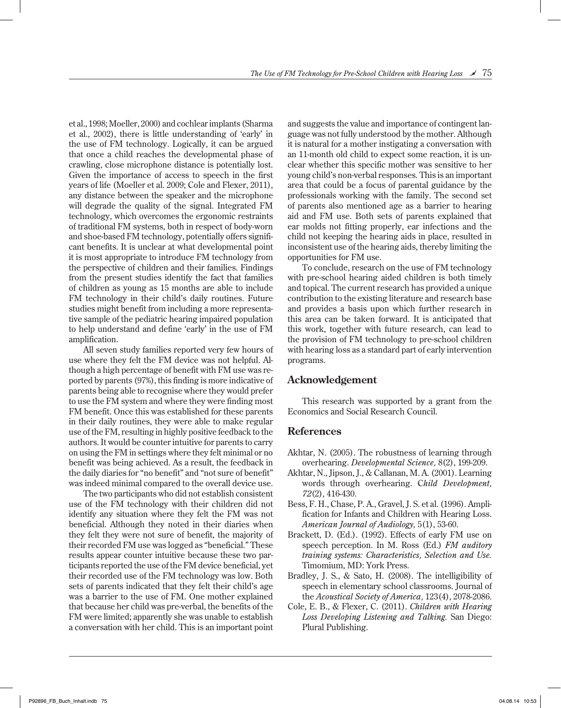et al., 1998; Moeller, 2000) and cochlear implants (Sharma et al., 2002), there is little understanding of 'early' in the use of FM technology. Logically, it can be argued that once a child reaches the developmental phase of crawling, close microphone distance is potentially lost. Given the importance of access to speech in the first years of life (Moeller et al. 2009; Cole and Flexer, 2011), any distance between the speaker and the microphone will degrade the quality of the signal. Integrated FM technology, which overcomes the ergonomic restraints of traditional FM systems, both in respect of body-worn and shoe-based FM technology, potentially offers significant benefits. It is unclear at what developmental point it is most appropriate to introduce FM technology from the perspective of children and their families. Findings from the present studies identify the fact that families of children as young as 15 months are able to include FM technology in their child's daily routines. Future studies might benefit from including a more representative sample of the pediatric hearing impaired population to help understand and define 'early' in the use of FM amplification.

All seven study families reported very few hours of use where they felt the FM device was not helpful. Although a high percentage of benefit with FM use was reported by parents (97%), this finding is more indicative of parents being able to recognise where they would prefer to use the FM system and where they were finding most FM benefit. Once this was established for these parents in their daily routines, they were able to make regular use of the FM, resulting in highly positive feedback to the authors. It would be counter intuitive for parents to carry on using the FM in settings where they felt minimal or no benefit was being achieved. As a result, the feedback in the daily diaries for "no benefit" and "not sure of benefit" was indeed minimal compared to the overall device use.

The two participants who did not establish consistent use of the FM technology with their children did not identify any situation where they felt the FM was not beneficial. Although they noted in their diaries when they felt they were not sure of benefit, the majority of their recorded FM use was logged as "beneficial." These results appear counter intuitive because these two participants reported the use of the FM device beneficial, yet their recorded use of the FM technology was low. Both sets of parents indicated that they felt their child's age was a barrier to the use of FM. One mother explained that because her child was pre-verbal, the benefits of the FM were limited; apparently she was unable to establish a conversation with her child. This is an important point

and suggests the value and importance of contingent language was not fully understood by the mother. Although it is natural for a mother instigating a conversation with an 11-month old child to expect some reaction, it is unclear whether this specific mother was sensitive to her young child's non-verbal responses. This is an important area that could be a focus of parental guidance by the professionals working with the family. The second set of parents also mentioned age as a barrier to hearing aid and FM use. Both sets of parents explained that ear molds not fitting properly, ear infections and the child not keeping the hearing aids in place, resulted in inconsistent use of the hearing aids, thereby limiting the opportunities for FM use.

To conclude, research on the use of FM technology with pre-school hearing aided children is both timely and topical. The current research has provided a unique contribution to the existing literature and research base and provides a basis upon which further research in this area can be taken forward. It is anticipated that this work, together with future research, can lead to the provision of FM technology to pre-school children with hearing loss as a standard part of early intervention programs.

#### **Acknowledgement**

This research was supported by a grant from the Economics and Social Research Council.

#### **References**

- Akhtar, N. (2005). The robustness of learning through overhearing. *Developmental Science,* 8(2), 199-209.
- Akhtar, N., Jipson, J., & Callanan, M. A. (2001). Learning words through overhearing. C*hild Development, 72*(2), 416-430.
- Bess, F. H., Chase, P. A., Gravel, J. S. et al. (1996). Amplification for Infants and Children with Hearing Loss. *American Journal of Audiology,* 5(1), 53-60.
- Brackett, D. (Ed.). (1992). Effects of early FM use on speech perception. In M. Ross (Ed.) *FM auditory training systems: Characteristics, Selection and Use.* Timomium, MD: York Press.
- Bradley, J. S., & Sato, H. (2008). The intelligibility of speech in elementary school classrooms. Journal of the *Acoustical Society of America,* 123(4), 2078-2086.
- Cole, E. B., & Flexer, C. (2011). *Children with Hearing Loss Developing Listening and Talking.* San Diego: Plural Publishing.